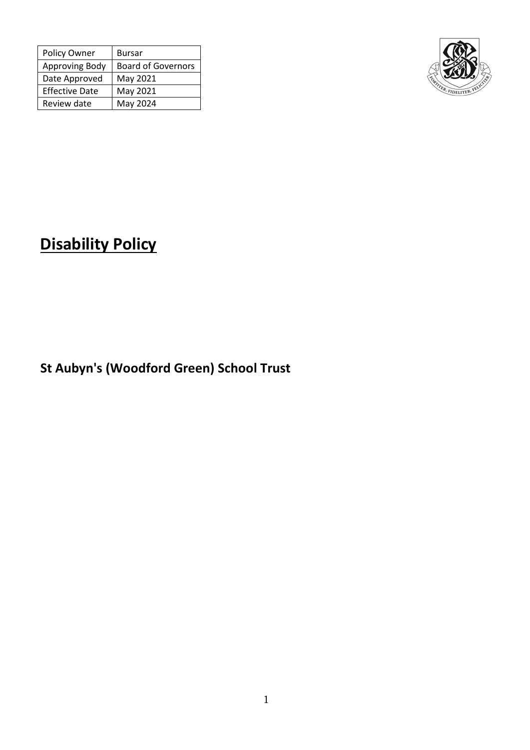| Policy Owner          | <b>Bursar</b>             |
|-----------------------|---------------------------|
| Approving Body        | <b>Board of Governors</b> |
| Date Approved         | May 2021                  |
| <b>Effective Date</b> | May 2021                  |
| Review date           | May 2024                  |



# **Disability Policy**

**St Aubyn's (Woodford Green) School Trust**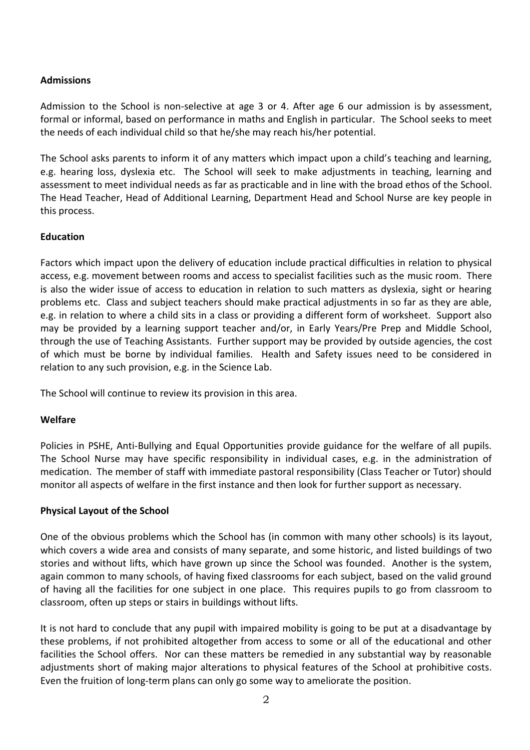# **Admissions**

Admission to the School is non-selective at age 3 or 4. After age 6 our admission is by assessment, formal or informal, based on performance in maths and English in particular. The School seeks to meet the needs of each individual child so that he/she may reach his/her potential.

The School asks parents to inform it of any matters which impact upon a child's teaching and learning, e.g. hearing loss, dyslexia etc. The School will seek to make adjustments in teaching, learning and assessment to meet individual needs as far as practicable and in line with the broad ethos of the School. The Head Teacher, Head of Additional Learning, Department Head and School Nurse are key people in this process.

# **Education**

Factors which impact upon the delivery of education include practical difficulties in relation to physical access, e.g. movement between rooms and access to specialist facilities such as the music room. There is also the wider issue of access to education in relation to such matters as dyslexia, sight or hearing problems etc. Class and subject teachers should make practical adjustments in so far as they are able, e.g. in relation to where a child sits in a class or providing a different form of worksheet. Support also may be provided by a learning support teacher and/or, in Early Years/Pre Prep and Middle School, through the use of Teaching Assistants. Further support may be provided by outside agencies, the cost of which must be borne by individual families. Health and Safety issues need to be considered in relation to any such provision, e.g. in the Science Lab.

The School will continue to review its provision in this area.

# **Welfare**

Policies in PSHE, Anti-Bullying and Equal Opportunities provide guidance for the welfare of all pupils. The School Nurse may have specific responsibility in individual cases, e.g. in the administration of medication. The member of staff with immediate pastoral responsibility (Class Teacher or Tutor) should monitor all aspects of welfare in the first instance and then look for further support as necessary.

# **Physical Layout of the School**

One of the obvious problems which the School has (in common with many other schools) is its layout, which covers a wide area and consists of many separate, and some historic, and listed buildings of two stories and without lifts, which have grown up since the School was founded. Another is the system, again common to many schools, of having fixed classrooms for each subject, based on the valid ground of having all the facilities for one subject in one place. This requires pupils to go from classroom to classroom, often up steps or stairs in buildings without lifts.

It is not hard to conclude that any pupil with impaired mobility is going to be put at a disadvantage by these problems, if not prohibited altogether from access to some or all of the educational and other facilities the School offers. Nor can these matters be remedied in any substantial way by reasonable adjustments short of making major alterations to physical features of the School at prohibitive costs. Even the fruition of long-term plans can only go some way to ameliorate the position.